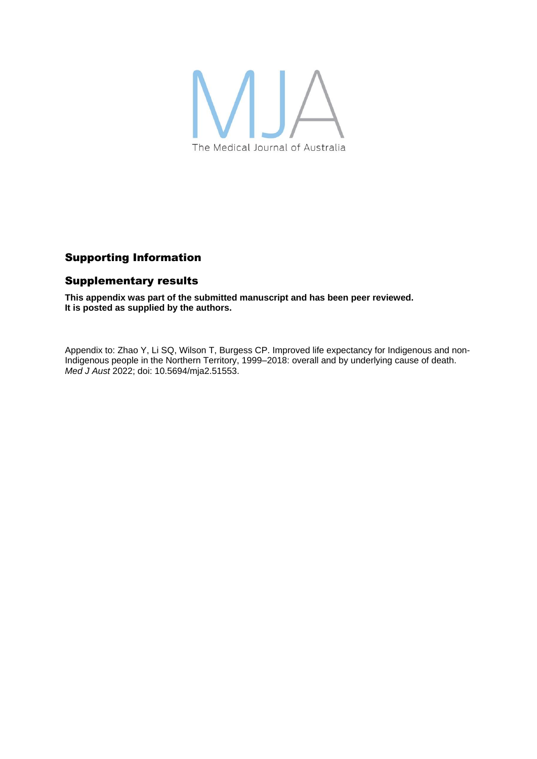

## Supporting Information

## Supplementary results

**This appendix was part of the submitted manuscript and has been peer reviewed. It is posted as supplied by the authors.**

Appendix to: Zhao Y, Li SQ, Wilson T, Burgess CP. Improved life expectancy for Indigenous and non-Indigenous people in the Northern Territory, 1999–2018: overall and by underlying cause of death. *Med J Aust* 2022; doi: 10.5694/mja2.51553.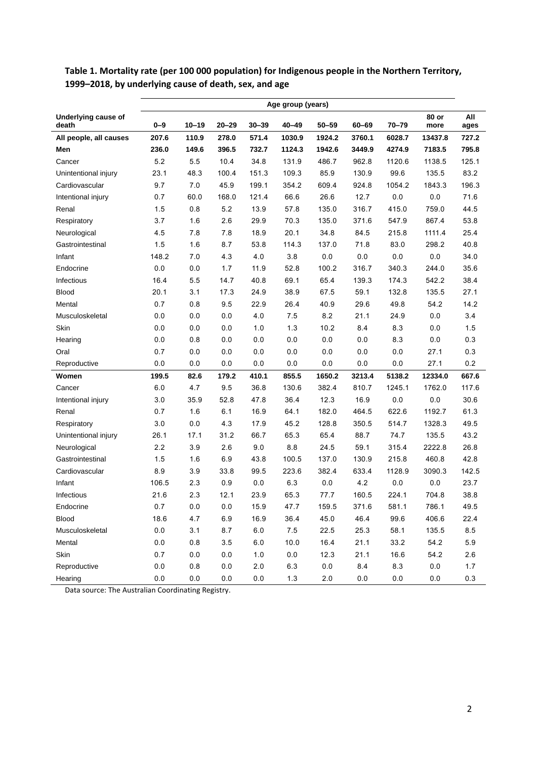|                              | Age group (years) |           |           |           |           |           |        |           |               |             |
|------------------------------|-------------------|-----------|-----------|-----------|-----------|-----------|--------|-----------|---------------|-------------|
| Underlying cause of<br>death | $0 - 9$           | $10 - 19$ | $20 - 29$ | $30 - 39$ | $40 - 49$ | $50 - 59$ | 60-69  | $70 - 79$ | 80 or<br>more | All<br>ages |
| All people, all causes       | 207.6             | 110.9     | 278.0     | 571.4     | 1030.9    | 1924.2    | 3760.1 | 6028.7    | 13437.8       | 727.2       |
| Men                          | 236.0             | 149.6     | 396.5     | 732.7     | 1124.3    | 1942.6    | 3449.9 | 4274.9    | 7183.5        | 795.8       |
| Cancer                       | 5.2               | 5.5       | 10.4      | 34.8      | 131.9     | 486.7     | 962.8  | 1120.6    | 1138.5        | 125.1       |
| Unintentional injury         | 23.1              | 48.3      | 100.4     | 151.3     | 109.3     | 85.9      | 130.9  | 99.6      | 135.5         | 83.2        |
| Cardiovascular               | 9.7               | 7.0       | 45.9      | 199.1     | 354.2     | 609.4     | 924.8  | 1054.2    | 1843.3        | 196.3       |
| Intentional injury           | 0.7               | 60.0      | 168.0     | 121.4     | 66.6      | 26.6      | 12.7   | 0.0       | 0.0           | 71.6        |
| Renal                        | 1.5               | 0.8       | 5.2       | 13.9      | 57.8      | 135.0     | 316.7  | 415.0     | 759.0         | 44.5        |
| Respiratory                  | 3.7               | 1.6       | 2.6       | 29.9      | 70.3      | 135.0     | 371.6  | 547.9     | 867.4         | 53.8        |
| Neurological                 | 4.5               | 7.8       | 7.8       | 18.9      | 20.1      | 34.8      | 84.5   | 215.8     | 1111.4        | 25.4        |
| Gastrointestinal             | 1.5               | 1.6       | 8.7       | 53.8      | 114.3     | 137.0     | 71.8   | 83.0      | 298.2         | 40.8        |
| Infant                       | 148.2             | 7.0       | 4.3       | 4.0       | 3.8       | 0.0       | 0.0    | 0.0       | 0.0           | 34.0        |
| Endocrine                    | 0.0               | 0.0       | 1.7       | 11.9      | 52.8      | 100.2     | 316.7  | 340.3     | 244.0         | 35.6        |
| Infectious                   | 16.4              | 5.5       | 14.7      | 40.8      | 69.1      | 65.4      | 139.3  | 174.3     | 542.2         | 38.4        |
| Blood                        | 20.1              | 3.1       | 17.3      | 24.9      | 38.9      | 67.5      | 59.1   | 132.8     | 135.5         | 27.1        |
| Mental                       | 0.7               | 0.8       | 9.5       | 22.9      | 26.4      | 40.9      | 29.6   | 49.8      | 54.2          | 14.2        |
| Musculoskeletal              | 0.0               | 0.0       | 0.0       | 4.0       | 7.5       | 8.2       | 21.1   | 24.9      | 0.0           | 3.4         |
| Skin                         | 0.0               | 0.0       | 0.0       | 1.0       | 1.3       | 10.2      | 8.4    | 8.3       | 0.0           | 1.5         |
| Hearing                      | 0.0               | 0.8       | $0.0\,$   | 0.0       | 0.0       | 0.0       | 0.0    | 8.3       | 0.0           | 0.3         |
| Oral                         | 0.7               | 0.0       | 0.0       | 0.0       | 0.0       | 0.0       | 0.0    | 0.0       | 27.1          | 0.3         |
| Reproductive                 | 0.0               | 0.0       | 0.0       | 0.0       | 0.0       | 0.0       | 0.0    | 0.0       | 27.1          | 0.2         |
| Women                        | 199.5             | 82.6      | 179.2     | 410.1     | 855.5     | 1650.2    | 3213.4 | 5138.2    | 12334.0       | 667.6       |
| Cancer                       | 6.0               | 4.7       | 9.5       | 36.8      | 130.6     | 382.4     | 810.7  | 1245.1    | 1762.0        | 117.6       |
| Intentional injury           | 3.0               | 35.9      | 52.8      | 47.8      | 36.4      | 12.3      | 16.9   | 0.0       | 0.0           | 30.6        |
| Renal                        | 0.7               | 1.6       | 6.1       | 16.9      | 64.1      | 182.0     | 464.5  | 622.6     | 1192.7        | 61.3        |
| Respiratory                  | 3.0               | 0.0       | 4.3       | 17.9      | 45.2      | 128.8     | 350.5  | 514.7     | 1328.3        | 49.5        |
| Unintentional injury         | 26.1              | 17.1      | 31.2      | 66.7      | 65.3      | 65.4      | 88.7   | 74.7      | 135.5         | 43.2        |
| Neurological                 | 2.2               | 3.9       | 2.6       | 9.0       | 8.8       | 24.5      | 59.1   | 315.4     | 2222.8        | 26.8        |
| Gastrointestinal             | 1.5               | 1.6       | 6.9       | 43.8      | 100.5     | 137.0     | 130.9  | 215.8     | 460.8         | 42.8        |
| Cardiovascular               | 8.9               | 3.9       | 33.8      | 99.5      | 223.6     | 382.4     | 633.4  | 1128.9    | 3090.3        | 142.5       |
| Infant                       | 106.5             | 2.3       | 0.9       | 0.0       | 6.3       | 0.0       | 4.2    | 0.0       | 0.0           | 23.7        |
| Infectious                   | 21.6              | 2.3       | 12.1      | 23.9      | 65.3      | 77.7      | 160.5  | 224.1     | 704.8         | 38.8        |
| Endocrine                    | 0.7               | 0.0       | $0.0\,$   | 15.9      | 47.7      | 159.5     | 371.6  | 581.1     | 786.1         | 49.5        |
| Blood                        | 18.6              | 4.7       | 6.9       | 16.9      | 36.4      | 45.0      | 46.4   | 99.6      | 406.6         | 22.4        |
| Musculoskeletal              | $0.0\,$           | 3.1       | 8.7       | $6.0\,$   | $7.5$     | 22.5      | 25.3   | 58.1      | 135.5         | $8.5\,$     |
| Mental                       | $0.0\,$           | $0.8\,$   | 3.5       | 6.0       | 10.0      | 16.4      | 21.1   | 33.2      | 54.2          | 5.9         |
| Skin                         | 0.7               | $0.0\,$   | $0.0\,$   | $1.0\,$   | 0.0       | 12.3      | 21.1   | 16.6      | 54.2          | 2.6         |
| Reproductive                 | 0.0               | 0.8       | $0.0\,$   | $2.0\,$   | 6.3       | $0.0\,$   | 8.4    | 8.3       | $0.0\,$       | 1.7         |
| Hearing                      | $0.0\,$           | $0.0\,$   | $0.0\,$   | $0.0\,$   | $1.3$     | $2.0\,$   | 0.0    | 0.0       | $0.0\,$       | 0.3         |

**Table 1. Mortality rate (per 100 000 population) for Indigenous people in the Northern Territory, 1999–2018, by underlying cause of death, sex, and age**

Data source: The Australian Coordinating Registry.